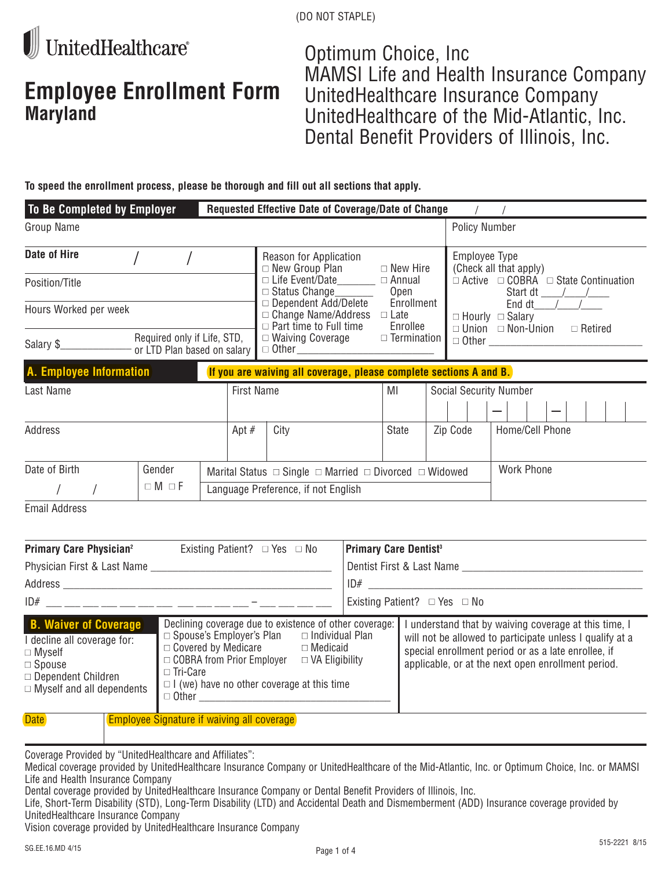

# **Employee Enrollment Form Maryland**

Optimum Choice, Inc MAMSI Life and Health Insurance Company UnitedHealthcare Insurance Company UnitedHealthcare of the Mid-Atlantic, Inc. Dental Benefit Providers of Illinois, Inc.

**To speed the enrollment process, please be thorough and fill out all sections that apply.**

| To Be Completed by Employer    |                                                              |  | Requested Effective Date of Coverage/Date of Change                                   |                                                               |                               |                                                                                                             |  |  |
|--------------------------------|--------------------------------------------------------------|--|---------------------------------------------------------------------------------------|---------------------------------------------------------------|-------------------------------|-------------------------------------------------------------------------------------------------------------|--|--|
| Group Name                     |                                                              |  |                                                                                       |                                                               | <b>Policy Number</b>          |                                                                                                             |  |  |
| Date of Hire                   |                                                              |  | Reason for Application<br>$\Box$ New Group Plan                                       | $\Box$ New Hire                                               |                               | Employee Type<br>(Check all that apply)<br>$\Box$ Active $\Box$ COBRA $\Box$ State Continuation<br>Start dt |  |  |
| Position/Title                 |                                                              |  | $\Box$ Life Event/Date________<br>$\Box$ Status Change                                | $\Box$ Annual<br>Open                                         |                               |                                                                                                             |  |  |
| Hours Worked per week          |                                                              |  | □ Dependent Add/Delete<br>$\Box$ Change Name/Address<br>$\Box$ Part time to Full time | Enrollment<br>$\Box$ Late<br>Enrollee                         |                               | End dt $\frac{1}{2}$<br>$\Box$ Hourly $\Box$ Salary<br>$\Box$ Union $\Box$ Non-Union<br>$\Box$ Retired      |  |  |
| Salary \$                      | Required only if Life, STD,<br>- or LTD Plan based on salary |  |                                                                                       | $\Box$ Waiving Coverage<br>$\Box$ Termination<br>$\Box$ Other |                               | $\Box$ Other                                                                                                |  |  |
| A. Employee Information        |                                                              |  | If you are waiving all coverage, please complete sections A and B.                    |                                                               |                               |                                                                                                             |  |  |
| <b>First Name</b><br>Last Name |                                                              |  |                                                                                       | MI                                                            | <b>Social Security Number</b> |                                                                                                             |  |  |
|                                |                                                              |  |                                                                                       |                                                               |                               |                                                                                                             |  |  |
| Address<br>Apt $#$             |                                                              |  | City                                                                                  | State                                                         | Zip Code                      | Home/Cell Phone                                                                                             |  |  |
| Date of Birth                  | Gender                                                       |  | Marital Status $\Box$ Single $\Box$ Married $\Box$ Divorced $\Box$ Widowed            |                                                               |                               | <b>Work Phone</b>                                                                                           |  |  |
|                                | $\Box M \Box F$                                              |  | Language Preference, if not English                                                   |                                                               |                               |                                                                                                             |  |  |
|                                |                                                              |  |                                                                                       |                                                               |                               |                                                                                                             |  |  |

Email Address

| <b>Primary Care Physician<sup>2</sup></b>                                                                                                                                                                                                                                                                                                                                                                                                                                           |  | Existing Patient? $\Box$ Yes $\Box$ No            |                                                                                                                                                                                                                                | <b>Primary Care Dentist<sup>3</sup></b> |                           |  |  |
|-------------------------------------------------------------------------------------------------------------------------------------------------------------------------------------------------------------------------------------------------------------------------------------------------------------------------------------------------------------------------------------------------------------------------------------------------------------------------------------|--|---------------------------------------------------|--------------------------------------------------------------------------------------------------------------------------------------------------------------------------------------------------------------------------------|-----------------------------------------|---------------------------|--|--|
| Physician First & Last Name ___________                                                                                                                                                                                                                                                                                                                                                                                                                                             |  |                                                   |                                                                                                                                                                                                                                |                                         | Dentist First & Last Name |  |  |
| Address                                                                                                                                                                                                                                                                                                                                                                                                                                                                             |  |                                                   |                                                                                                                                                                                                                                | ID#                                     |                           |  |  |
| ID#                                                                                                                                                                                                                                                                                                                                                                                                                                                                                 |  |                                                   |                                                                                                                                                                                                                                | Existing Patient? $\Box$ Yes $\Box$ No  |                           |  |  |
| Declining coverage due to existence of other coverage:<br><b>B. Waiver of Coverage</b><br>$\Box$ Spouse's Employer's Plan<br>$\Box$ Individual Plan<br>I decline all coverage for:<br>$\Box$ Covered by Medicare $\Box$ Medicaid<br>$\Box$ Myself<br>□ COBRA from Prior Employer<br>$\Box$ VA Eligibility<br>$\Box$ Spouse<br>$\Box$ Tri-Care<br>$\Box$ Dependent Children<br>$\Box$ I (we) have no other coverage at this time<br>$\Box$ Myself and all dependents<br>$\Box$ Other |  |                                                   | I understand that by waiving coverage at this time, I<br>will not be allowed to participate unless I qualify at a<br>special enrollment period or as a late enrollee, if<br>applicable, or at the next open enrollment period. |                                         |                           |  |  |
| <b>Date</b>                                                                                                                                                                                                                                                                                                                                                                                                                                                                         |  | <b>Employee Signature if waiving all coverage</b> |                                                                                                                                                                                                                                |                                         |                           |  |  |

Coverage Provided by "UnitedHealthcare and Affiliates":

Dental coverage provided by UnitedHealthcare Insurance Company or Dental Benefit Providers of Illinois, Inc.

Life, Short-Term Disability (STD), Long-Term Disability (LTD) and Accidental Death and Dismemberment (ADD) Insurance coverage provided by UnitedHealthcare Insurance Company

Vision coverage provided by UnitedHealthcare Insurance Company

Medical coverage provided by UnitedHealthcare Insurance Company or UnitedHealthcare of the Mid-Atlantic, Inc. or Optimum Choice, Inc. or MAMSI Life and Health Insurance Company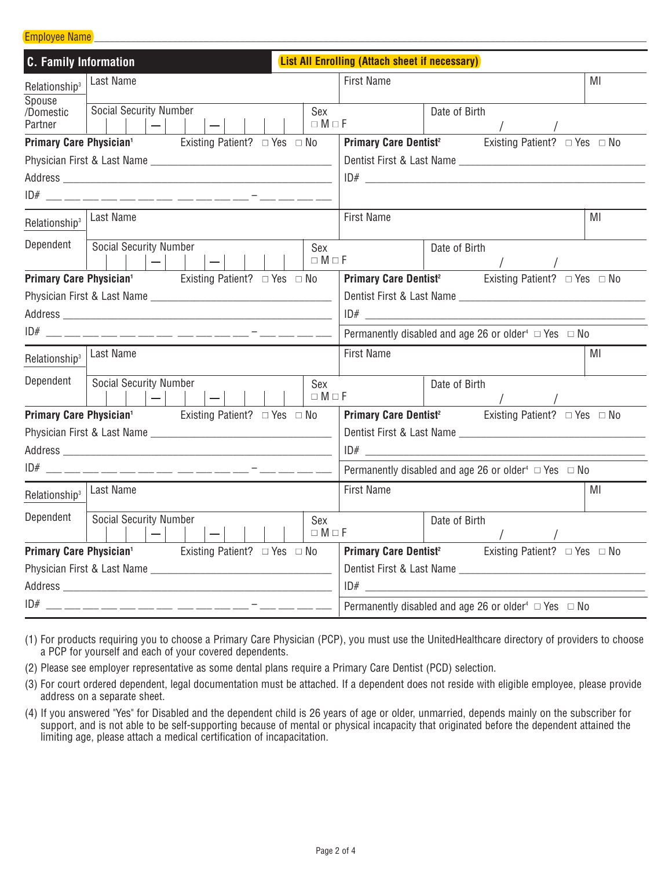#### Employee Name

| <b>C. Family Information</b>                                                     |                               |                               |  |                                                                            |                                                                            |                                                                            |                        | <b>List All Enrolling (Attach sheet if necessary)</b> |                                                                                |    |    |  |
|----------------------------------------------------------------------------------|-------------------------------|-------------------------------|--|----------------------------------------------------------------------------|----------------------------------------------------------------------------|----------------------------------------------------------------------------|------------------------|-------------------------------------------------------|--------------------------------------------------------------------------------|----|----|--|
| Relationship <sup>3</sup><br>Spouse                                              | Last Name                     |                               |  |                                                                            |                                                                            |                                                                            | <b>First Name</b>      |                                                       |                                                                                | MI |    |  |
| /Domestic<br>Partner                                                             | <b>Social Security Number</b> | $ - $                         |  | $ - $                                                                      |                                                                            |                                                                            | Sex<br>$\Box M \Box F$ |                                                       | Date of Birth                                                                  |    |    |  |
| <b>Primary Care Physician<sup>1</sup></b> Existing Patient? $\Box$ Yes $\Box$ No |                               |                               |  |                                                                            |                                                                            |                                                                            |                        |                                                       | <b>Primary Care Dentist<sup>2</sup></b> Existing Patient? $\Box$ Yes $\Box$ No |    |    |  |
|                                                                                  |                               |                               |  |                                                                            |                                                                            |                                                                            |                        |                                                       |                                                                                |    |    |  |
|                                                                                  |                               |                               |  |                                                                            |                                                                            |                                                                            |                        |                                                       |                                                                                |    |    |  |
|                                                                                  |                               |                               |  |                                                                            |                                                                            |                                                                            |                        |                                                       |                                                                                |    |    |  |
| Relationship <sup>3</sup>                                                        | Last Name                     |                               |  |                                                                            |                                                                            |                                                                            |                        | <b>First Name</b>                                     |                                                                                |    | MI |  |
| Dependent                                                                        | Social Security Number        | $ - $ $ $                     |  | $ - $                                                                      |                                                                            |                                                                            | Sex<br>$\Box M \Box F$ |                                                       | Date of Birth                                                                  |    |    |  |
| <b>Primary Care Physician<sup>1</sup></b> Existing Patient? $\Box$ Yes $\Box$ No |                               |                               |  |                                                                            |                                                                            |                                                                            |                        |                                                       | <b>Primary Care Dentist<sup>2</sup></b> Existing Patient? $\Box$ Yes $\Box$ No |    |    |  |
|                                                                                  |                               |                               |  |                                                                            |                                                                            |                                                                            |                        |                                                       |                                                                                |    |    |  |
|                                                                                  |                               |                               |  |                                                                            |                                                                            |                                                                            |                        |                                                       |                                                                                |    |    |  |
|                                                                                  |                               |                               |  | Permanently disabled and age 26 or older <sup>4</sup> $\Box$ Yes $\Box$ No |                                                                            |                                                                            |                        |                                                       |                                                                                |    |    |  |
| Relationship <sup>3</sup>                                                        | Last Name                     |                               |  |                                                                            | <b>First Name</b><br>MI                                                    |                                                                            |                        |                                                       |                                                                                |    |    |  |
| Dependent                                                                        | Social Security Number        | $\vert \vert - \vert - \vert$ |  | $ - $                                                                      |                                                                            |                                                                            | Sex<br>$\Box M \Box F$ |                                                       | Date of Birth                                                                  |    |    |  |
| <b>Primary Care Physician<sup>1</sup></b> Existing Patient? $\Box$ Yes $\Box$ No |                               |                               |  |                                                                            |                                                                            |                                                                            |                        |                                                       | <b>Primary Care Dentist<sup>2</sup></b> Existing Patient? $\Box$ Yes $\Box$ No |    |    |  |
|                                                                                  |                               |                               |  |                                                                            |                                                                            |                                                                            |                        |                                                       |                                                                                |    |    |  |
|                                                                                  |                               |                               |  |                                                                            |                                                                            |                                                                            |                        |                                                       |                                                                                |    |    |  |
|                                                                                  |                               |                               |  |                                                                            |                                                                            | Permanently disabled and age 26 or older <sup>4</sup> $\Box$ Yes $\Box$ No |                        |                                                       |                                                                                |    |    |  |
| Relationship <sup>3</sup>                                                        | Last Name                     |                               |  |                                                                            |                                                                            |                                                                            | <b>First Name</b>      |                                                       |                                                                                | MI |    |  |
| Dependent                                                                        | <b>Social Security Number</b> | $ - $                         |  | $ - $                                                                      |                                                                            |                                                                            | Sex<br>$\Box M \Box F$ |                                                       | Date of Birth                                                                  |    |    |  |
| <b>Primary Care Physician<sup>1</sup></b> Existing Patient? $\Box$ Yes $\Box$ No |                               |                               |  |                                                                            |                                                                            |                                                                            |                        |                                                       | <b>Primary Care Dentist<sup>2</sup></b> Existing Patient? $\Box$ Yes $\Box$ No |    |    |  |
|                                                                                  |                               |                               |  |                                                                            |                                                                            |                                                                            |                        |                                                       |                                                                                |    |    |  |
|                                                                                  |                               |                               |  |                                                                            |                                                                            |                                                                            |                        | ID#                                                   |                                                                                |    |    |  |
|                                                                                  |                               |                               |  |                                                                            | Permanently disabled and age 26 or older <sup>4</sup> $\Box$ Yes $\Box$ No |                                                                            |                        |                                                       |                                                                                |    |    |  |

- (1) For products requiring you to choose a Primary Care Physician (PCP), you must use the UnitedHealthcare directory of providers to choose a PCP for yourself and each of your covered dependents.
- (2) Please see employer representative as some dental plans require a Primary Care Dentist (PCD) selection.
- (3) For court ordered dependent, legal documentation must be attached. If a dependent does not reside with eligible employee, please provide address on a separate sheet.
- (4) If you answered "Yes" for Disabled and the dependent child is 26 years of age or older, unmarried, depends mainly on the subscriber for support, and is not able to be self-supporting because of mental or physical incapacity that originated before the dependent attained the limiting age, please attach a medical certification of incapacitation.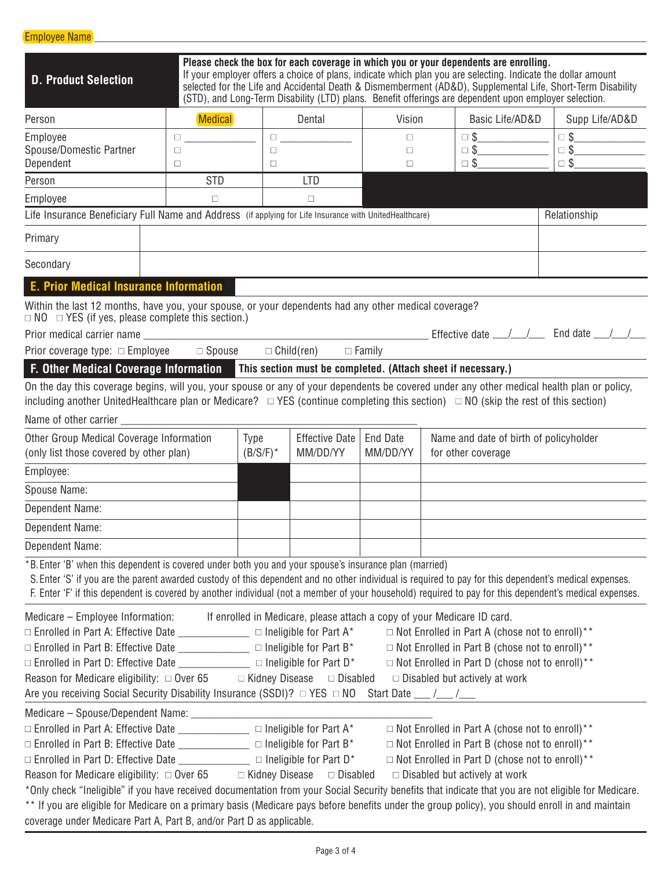| <b>D. Product Selection</b>                                                                                                                                                                                                                                                                                                                                                                                                                                                                                                                                                                                                                                                         |                |                     |                                                                         |                                              |  | Please check the box for each coverage in which you or your dependents are enrolling.<br>If your employer offers a choice of plans, indicate which plan you are selecting. Indicate the dollar amount<br>(STD), and Long-Term Disability (LTD) plans. Benefit offerings are dependent upon employer selection. | selected for the Life and Accidental Death & Dismemberment (AD&D), Supplemental Life, Short-Term Disability |
|-------------------------------------------------------------------------------------------------------------------------------------------------------------------------------------------------------------------------------------------------------------------------------------------------------------------------------------------------------------------------------------------------------------------------------------------------------------------------------------------------------------------------------------------------------------------------------------------------------------------------------------------------------------------------------------|----------------|---------------------|-------------------------------------------------------------------------|----------------------------------------------|--|----------------------------------------------------------------------------------------------------------------------------------------------------------------------------------------------------------------------------------------------------------------------------------------------------------------|-------------------------------------------------------------------------------------------------------------|
| Person                                                                                                                                                                                                                                                                                                                                                                                                                                                                                                                                                                                                                                                                              | <b>Medical</b> |                     | Dental                                                                  | Vision                                       |  | Basic Life/AD&D                                                                                                                                                                                                                                                                                                | Supp Life/AD&D                                                                                              |
| Employee                                                                                                                                                                                                                                                                                                                                                                                                                                                                                                                                                                                                                                                                            | $\Box$         |                     | $\Box$                                                                  | $\Box$                                       |  | $\Box$ \                                                                                                                                                                                                                                                                                                       | $\begin{tabular}{ c c c c } \hline $\quad \mathsf{S}$ & $\quad \mathsf{S}$ \\ \hline \end{tabular}$         |
| Spouse/Domestic Partner<br>Dependent                                                                                                                                                                                                                                                                                                                                                                                                                                                                                                                                                                                                                                                | $\Box$<br>□    | $\Box$<br>$\Box$    |                                                                         | $\Box$<br>$\Box$                             |  | $\Box$ \$                                                                                                                                                                                                                                                                                                      | $\Box$ \<br>$\square$ \$                                                                                    |
| Person                                                                                                                                                                                                                                                                                                                                                                                                                                                                                                                                                                                                                                                                              | <b>STD</b>     |                     | <b>LTD</b>                                                              |                                              |  |                                                                                                                                                                                                                                                                                                                |                                                                                                             |
| Employee                                                                                                                                                                                                                                                                                                                                                                                                                                                                                                                                                                                                                                                                            | $\Box$         |                     | $\Box$                                                                  |                                              |  |                                                                                                                                                                                                                                                                                                                |                                                                                                             |
| Life Insurance Beneficiary Full Name and Address (if applying for Life Insurance with UnitedHealthcare)                                                                                                                                                                                                                                                                                                                                                                                                                                                                                                                                                                             |                |                     |                                                                         |                                              |  |                                                                                                                                                                                                                                                                                                                | Relationship                                                                                                |
| Primary                                                                                                                                                                                                                                                                                                                                                                                                                                                                                                                                                                                                                                                                             |                |                     |                                                                         |                                              |  |                                                                                                                                                                                                                                                                                                                |                                                                                                             |
| Secondary                                                                                                                                                                                                                                                                                                                                                                                                                                                                                                                                                                                                                                                                           |                |                     |                                                                         |                                              |  |                                                                                                                                                                                                                                                                                                                |                                                                                                             |
| <b>E. Prior Medical Insurance Information</b>                                                                                                                                                                                                                                                                                                                                                                                                                                                                                                                                                                                                                                       |                |                     |                                                                         |                                              |  |                                                                                                                                                                                                                                                                                                                |                                                                                                             |
| Within the last 12 months, have you, your spouse, or your dependents had any other medical coverage?<br>$\Box$ NO $\Box$ YES (if yes, please complete this section.)                                                                                                                                                                                                                                                                                                                                                                                                                                                                                                                |                |                     |                                                                         |                                              |  |                                                                                                                                                                                                                                                                                                                |                                                                                                             |
|                                                                                                                                                                                                                                                                                                                                                                                                                                                                                                                                                                                                                                                                                     |                |                     |                                                                         |                                              |  |                                                                                                                                                                                                                                                                                                                |                                                                                                             |
| Prior coverage type: $\Box$ Employee $\Box$ Spouse $\Box$ Child(ren)                                                                                                                                                                                                                                                                                                                                                                                                                                                                                                                                                                                                                |                |                     | $\Box$ Family                                                           |                                              |  |                                                                                                                                                                                                                                                                                                                |                                                                                                             |
| F. Other Medical Coverage Information This section must be completed. (Attach sheet if necessary.)                                                                                                                                                                                                                                                                                                                                                                                                                                                                                                                                                                                  |                |                     |                                                                         |                                              |  |                                                                                                                                                                                                                                                                                                                |                                                                                                             |
| On the day this coverage begins, will you, your spouse or any of your dependents be covered under any other medical health plan or policy,<br>including another UnitedHealthcare plan or Medicare? $\Box$ YES (continue completing this section) $\Box$ NO (skip the rest of this section)                                                                                                                                                                                                                                                                                                                                                                                          |                |                     |                                                                         |                                              |  |                                                                                                                                                                                                                                                                                                                |                                                                                                             |
| Name of other carrier _______________                                                                                                                                                                                                                                                                                                                                                                                                                                                                                                                                                                                                                                               |                |                     |                                                                         |                                              |  |                                                                                                                                                                                                                                                                                                                |                                                                                                             |
| Other Group Medical Coverage Information<br>(only list those covered by other plan)                                                                                                                                                                                                                                                                                                                                                                                                                                                                                                                                                                                                 |                | Type<br>$(B/S/F)^*$ | <b>Effective Date</b><br>MM/DD/YY                                       | <b>End Date</b><br>MM/DD/YY                  |  | Name and date of birth of policyholder<br>for other coverage                                                                                                                                                                                                                                                   |                                                                                                             |
| Employee:                                                                                                                                                                                                                                                                                                                                                                                                                                                                                                                                                                                                                                                                           |                |                     |                                                                         |                                              |  |                                                                                                                                                                                                                                                                                                                |                                                                                                             |
| Spouse Name:                                                                                                                                                                                                                                                                                                                                                                                                                                                                                                                                                                                                                                                                        |                |                     |                                                                         |                                              |  |                                                                                                                                                                                                                                                                                                                |                                                                                                             |
| Dependent Name:                                                                                                                                                                                                                                                                                                                                                                                                                                                                                                                                                                                                                                                                     |                |                     |                                                                         |                                              |  |                                                                                                                                                                                                                                                                                                                |                                                                                                             |
| Dependent Name:                                                                                                                                                                                                                                                                                                                                                                                                                                                                                                                                                                                                                                                                     |                |                     |                                                                         |                                              |  |                                                                                                                                                                                                                                                                                                                |                                                                                                             |
| Dependent Name:                                                                                                                                                                                                                                                                                                                                                                                                                                                                                                                                                                                                                                                                     |                |                     |                                                                         |                                              |  |                                                                                                                                                                                                                                                                                                                |                                                                                                             |
| *B. Enter 'B' when this dependent is covered under both you and your spouse's insurance plan (married)<br>S. Enter 'S' if you are the parent awarded custody of this dependent and no other individual is required to pay for this dependent's medical expenses.<br>F. Enter 'F' if this dependent is covered by another individual (not a member of your household) required to pay for this dependent's medical expenses.                                                                                                                                                                                                                                                         |                |                     |                                                                         |                                              |  |                                                                                                                                                                                                                                                                                                                |                                                                                                             |
| Medicare - Employee Information:<br>$\Box$ Enrolled in Part B: Effective Date ________________________ $\Box$ Ineligible for Part B*<br>$\Box$ Enrolled in Part D: Effective Date _________________________ $\Box$ Ineligible for Part D*<br>Reason for Medicare eligibility: $\Box$ Over 65 $\Box$ Kidney Disease $\Box$ Disabled<br>Are you receiving Social Security Disability Insurance (SSDI)? $\Box$ YES $\Box$ NO                                                                                                                                                                                                                                                           |                |                     | If enrolled in Medicare, please attach a copy of your Medicare ID card. | Start Date $\frac{\ }{\ }$ / $\frac{\ }{\ }$ |  | $\Box$ Not Enrolled in Part A (chose not to enroll)**<br>$\Box$ Not Enrolled in Part B (chose not to enroll)**<br>□ Not Enrolled in Part D (chose not to enroll)**<br>$\Box$ Disabled but actively at work                                                                                                     |                                                                                                             |
| $\Box$ Enrolled in Part A: Effective Date _________________________ $\Box$ Ineligible for Part A*<br>$\Box$ Enrolled in Part D: Effective Date _________________________ $\Box$ Ineligible for Part D*<br>Reason for Medicare eligibility: $\Box$ Over 65 $\Box$ Kidney Disease $\Box$ Disabled<br>*Only check "Ineligible" if you have received documentation from your Social Security benefits that indicate that you are not eligible for Medicare.<br>** If you are eligible for Medicare on a primary basis (Medicare pays before benefits under the group policy), you should enroll in and maintain<br>coverage under Medicare Part A, Part B, and/or Part D as applicable. |                |                     |                                                                         |                                              |  | $\Box$ Not Enrolled in Part A (chose not to enroll)**<br>□ Not Enrolled in Part B (chose not to enroll)**<br>$\Box$ Not Enrolled in Part D (chose not to enroll)**<br>$\Box$ Disabled but actively at work                                                                                                     |                                                                                                             |